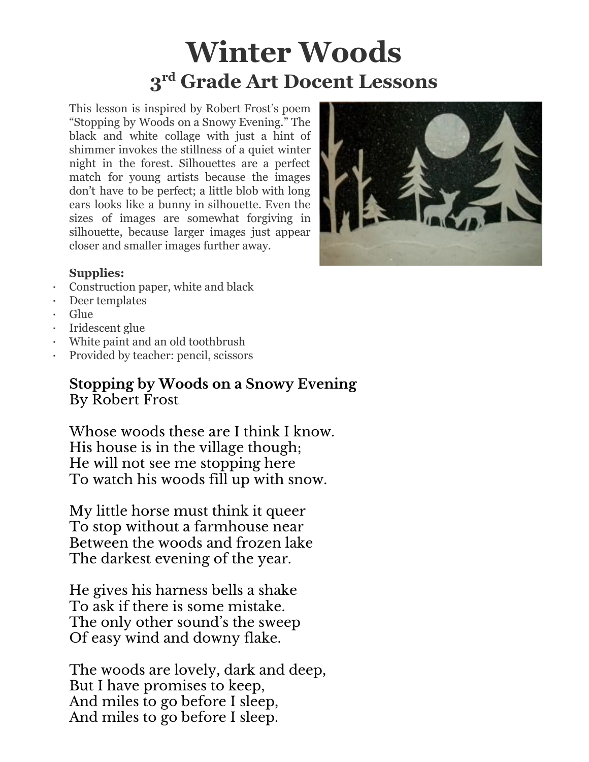## **Winter Woods 3 rd Grade Art Docent Lessons**

This lesson is inspired by Robert Frost's poem "Stopping by Woods on a Snowy Evening." The black and white collage with just a hint of shimmer invokes the stillness of a quiet winter night in the forest. Silhouettes are a perfect match for young artists because the images don't have to be perfect; a little blob with long ears looks like a bunny in silhouette. Even the sizes of images are somewhat forgiving in silhouette, because larger images just appear closer and smaller images further away.

## **Supplies:**

- Construction paper, white and black
- Deer templates
- Glue
- Iridescent glue
- White paint and an old toothbrush
- Provided by teacher: pencil, scissors

## **Stopping by Woods on a Snowy Evening** By Robert Frost

Whose woods these are I think I know. His house is in the village though; He will not see me stopping here To watch his woods fill up with snow.

My little horse must think it queer To stop without a farmhouse near Between the woods and frozen lake The darkest evening of the year.

He gives his harness bells a shake To ask if there is some mistake. The only other sound's the sweep Of easy wind and downy flake.

The woods are lovely, dark and deep, But I have promises to keep, And miles to go before I sleep, And miles to go before I sleep.